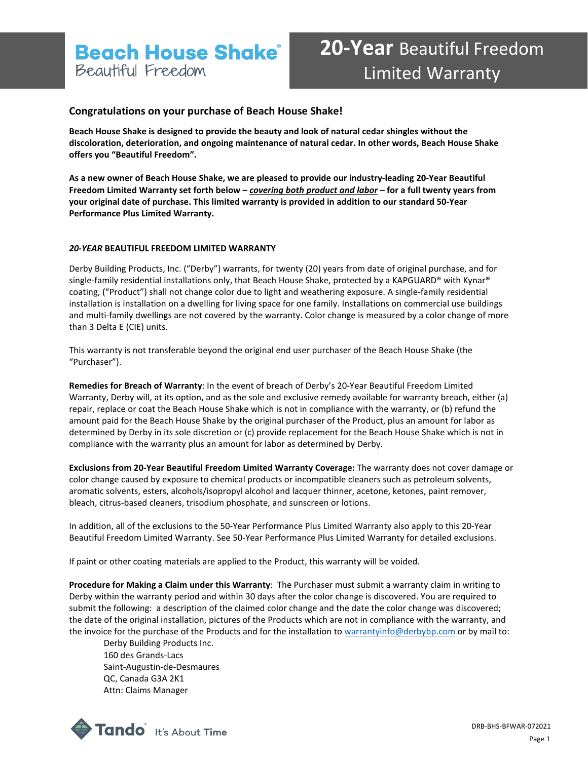## **Beach House Shake®** Beautiful Freedom

## **20-Year** Beautiful Freedom Limited Warranty

### **Congratulations on your purchase of Beach House Shake!**

**Beach House Shake is designed to provide the beauty and look of natural cedar shingles without the discoloration, deterioration, and ongoing maintenance of natural cedar. In other words, Beach House Shake offers you "Beautiful Freedom".** 

**As a new owner of Beach House Shake, we are pleased to provide our industry-leading 20-Year Beautiful Freedom Limited Warranty set forth below –** *covering both product and labor* **– for a full twenty years from your original date of purchase. This limited warranty is provided in addition to our standard 50-Year Performance Plus Limited Warranty.** 

#### *20-YEAR* **BEAUTIFUL FREEDOM LIMITED WARRANTY**

Derby Building Products, Inc. ("Derby") warrants, for twenty (20) years from date of original purchase, and for single-family residential installations only, that Beach House Shake, protected by a KAPGUARD® with Kynar® coating, ("Product") shall not change color due to light and weathering exposure. A single-family residential installation is installation on a dwelling for living space for one family. Installations on commercial use buildings and multi-family dwellings are not covered by the warranty. Color change is measured by a color change of more than 3 Delta E (CIE) units.

This warranty is not transferable beyond the original end user purchaser of the Beach House Shake (the "Purchaser").

**Remedies for Breach of Warranty**: In the event of breach of Derby's 20-Year Beautiful Freedom Limited Warranty, Derby will, at its option, and as the sole and exclusive remedy available for warranty breach, either (a) repair, replace or coat the Beach House Shake which is not in compliance with the warranty, or (b) refund the amount paid for the Beach House Shake by the original purchaser of the Product, plus an amount for labor as determined by Derby in its sole discretion or (c) provide replacement for the Beach House Shake which is not in compliance with the warranty plus an amount for labor as determined by Derby.

**Exclusions from 20-Year Beautiful Freedom Limited Warranty Coverage:** The warranty does not cover damage or color change caused by exposure to chemical products or incompatible cleaners such as petroleum solvents, aromatic solvents, esters, alcohols/isopropyl alcohol and lacquer thinner, acetone, ketones, paint remover, bleach, citrus-based cleaners, trisodium phosphate, and sunscreen or lotions.

In addition, all of the exclusions to the 50-Year Performance Plus Limited Warranty also apply to this 20-Year Beautiful Freedom Limited Warranty. See 50-Year Performance Plus Limited Warranty for detailed exclusions.

If paint or other coating materials are applied to the Product, this warranty will be voided.

**Procedure for Making a Claim under this Warranty**: The Purchaser must submit a warranty claim in writing to Derby within the warranty period and within 30 days after the color change is discovered. You are required to submit the following: a description of the claimed color change and the date the color change was discovered; the date of the original installation, pictures of the Products which are not in compliance with the warranty, and the invoice for the purchase of the Products and for the installation to warrantyinfo@derbybp.com or by mail to:

Derby Building Products Inc. 160 des Grands-Lacs Saint-Augustin-de-Desmaures QC, Canada G3A 2K1 Attn: Claims Manager